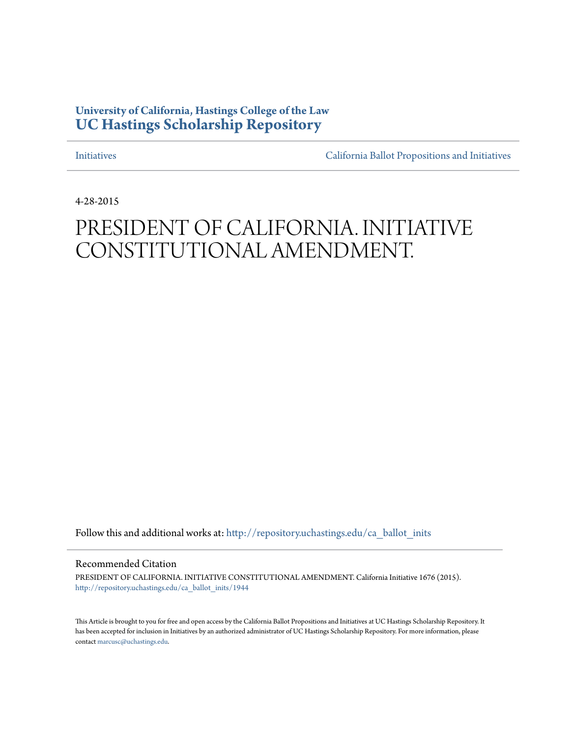## **University of California, Hastings College of the Law [UC Hastings Scholarship Repository](http://repository.uchastings.edu?utm_source=repository.uchastings.edu%2Fca_ballot_inits%2F1944&utm_medium=PDF&utm_campaign=PDFCoverPages)**

[Initiatives](http://repository.uchastings.edu/ca_ballot_inits?utm_source=repository.uchastings.edu%2Fca_ballot_inits%2F1944&utm_medium=PDF&utm_campaign=PDFCoverPages) [California Ballot Propositions and Initiatives](http://repository.uchastings.edu/ca_ballots?utm_source=repository.uchastings.edu%2Fca_ballot_inits%2F1944&utm_medium=PDF&utm_campaign=PDFCoverPages)

4-28-2015

## PRESIDENT OF CALIFORNIA. INITIATIVE CONSTITUTIONAL AMENDMENT.

Follow this and additional works at: [http://repository.uchastings.edu/ca\\_ballot\\_inits](http://repository.uchastings.edu/ca_ballot_inits?utm_source=repository.uchastings.edu%2Fca_ballot_inits%2F1944&utm_medium=PDF&utm_campaign=PDFCoverPages)

Recommended Citation

PRESIDENT OF CALIFORNIA. INITIATIVE CONSTITUTIONAL AMENDMENT. California Initiative 1676 (2015). [http://repository.uchastings.edu/ca\\_ballot\\_inits/1944](http://repository.uchastings.edu/ca_ballot_inits/1944?utm_source=repository.uchastings.edu%2Fca_ballot_inits%2F1944&utm_medium=PDF&utm_campaign=PDFCoverPages)

This Article is brought to you for free and open access by the California Ballot Propositions and Initiatives at UC Hastings Scholarship Repository. It has been accepted for inclusion in Initiatives by an authorized administrator of UC Hastings Scholarship Repository. For more information, please contact [marcusc@uchastings.edu](mailto:marcusc@uchastings.edu).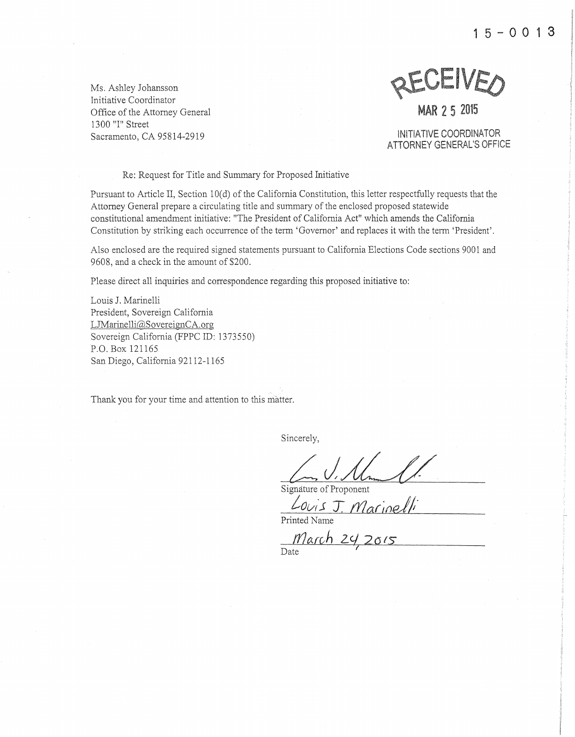$15 - 0013$ 



## el<br>Elizabeth<br>George Station

**MAR 2 5 2015** 

INiTIATIVE COORDINATOR ATTORNEY GENERAL'S OFFICE

Re: Request for Title and Summary for Proposed Initiative

Pursuant to Article II, Section 10(d) of the California Constitution, this letter respectfully requests that the Attorney General prepare a circulating title and summary of the enclosed proposed statewide constitutional amendment initiative: "The President of California Act" which amends the California Constitution by striking each occurrence of the term 'Governor' and replaces it with the term 'President'.

Also enclosed are the required signed statements pursuant to California Elections Code sections 9001 and 9608, and a check in the amount of \$200.

Please direct all inquiries and correspondence regarding this proposed initiative to:

Louis J. Marinelli President, Sovereign California LJMarinelli@SovereignCA.org Sovereign California (FPPC ID: 1373550) P.O. Box 121165 San Diego, California 92112-1165

Thank you for your time and attention to this matter.

Sincerely,

Signature of Proponent

Louis J. Marinet

Printed 1

*<u>March 24</u> 2015* Date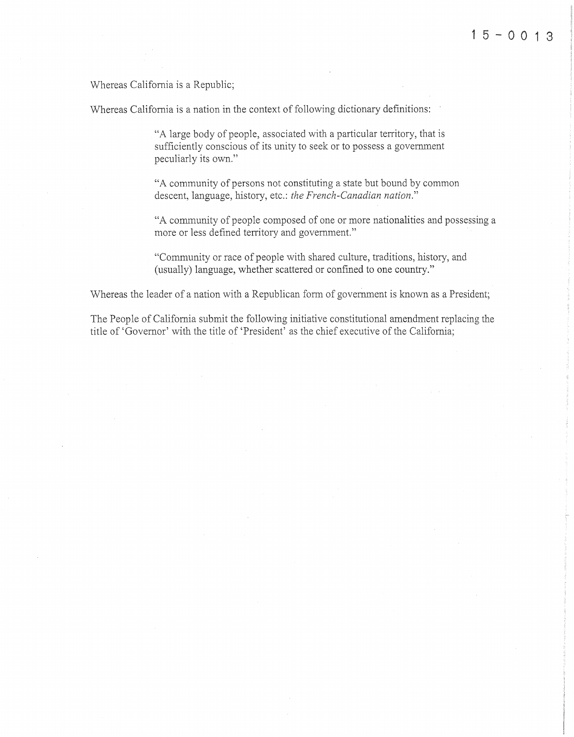Whereas California is a Republic;

Whereas California is a nation in the context of following dictionary definitions:

"A large body of people, associated with a particular territory, that is sufficiently conscious of its unity to seek or to possess a government peculiarly its own."

"A community of persons not constituting a state but bound by common descent, language, history, etc.: *the French-Canadian nation."* 

"A community of people composed of one or more nationalities and possessing a more or less defined territory and government."

"Community or race of people with shared culture, traditions, history, and (usually) language, whether scattered or confined to one country."

Whereas the leader of a nation with a Republican form of government is known as a President;

The People of California submit the following initiative constitutional amendment replacing the title of' Governor' with the title of 'President' as the chief executive of the California;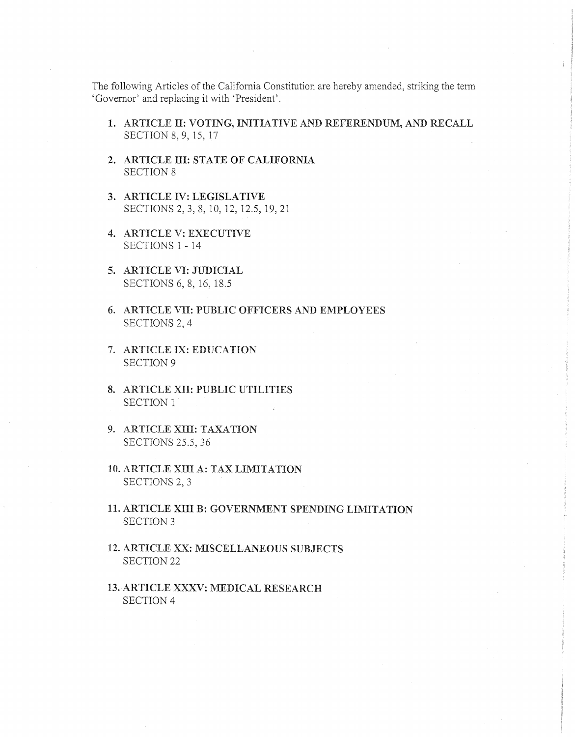The following Articles of the California Constitution are hereby amended, striking the term 'Governor' and replacing it with 'President'.

- 1. ARTICLE II: VOTING, INITIATIVE AND REFERENDUM, AND RECALL SECTION 8, 9, 15, 17
- 2. ARTICLE III: STATE OF CALIFORNIA SECTION 8
- 3. ARTICLE IV: LEGISLATIVE SECTIONS 2, 3, 8, 10, 12, 12.5, 19,21
- 4. ARTICLE V: EXECUTIVE SECTIONS 1 - 14
- 5. ARTICLE VI: JUDICIAL SECTIONS 6, 8, 16, 18.5
- 6. ARTICLE VII: PUBLIC OFFICERS AND EMPLOYEES SECTIONS 2, 4
- 7. ARTICLE IX: EDUCATION SECTION 9
- 8. ARTICLE XII: PUBLIC UTILITIES SECTION 1
- 9. ARTICLE XIII: TAXATION SECTIONS 25.5, 36
- 10. ARTICLE XIII A: TAX LIMITATION SECTIONS 2, 3
- 11. ARTICLE XIII B: GOVERNMENT SPENDING LIMITATION SECTION 3
- 12. ARTICLE XX: MISCELLANEOUS SUBJECTS SECTION 22
- 13. ARTICLE XXXV: MEDICAL RESEARCH SECTION 4